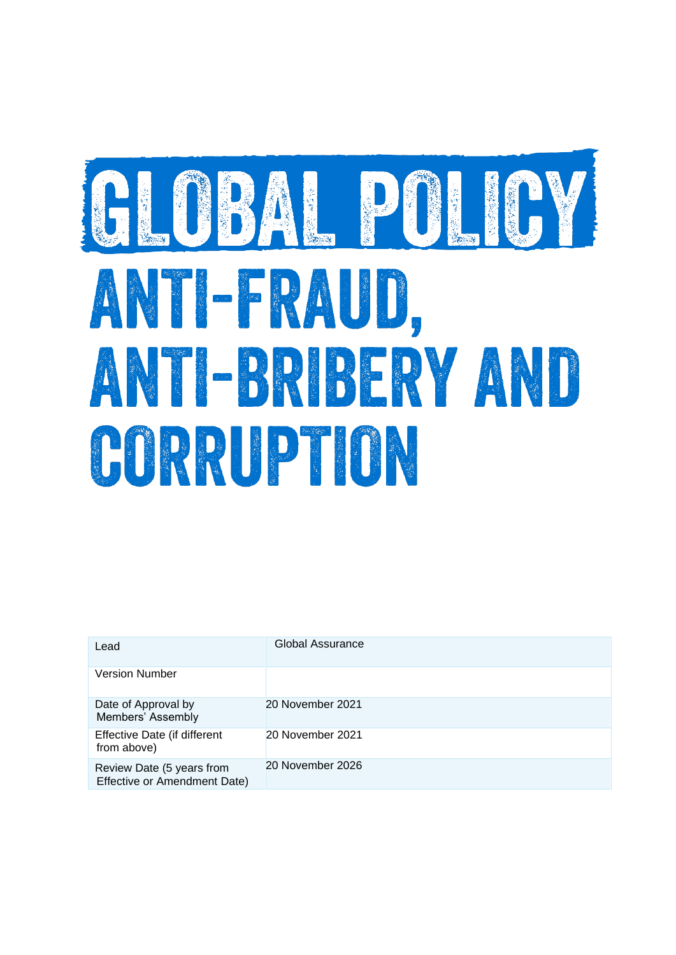# SLOBAL POLICY ANTI-FRAUD, ANTI-BRIDERY AND CORRUPTION

| Lead                                                      | Global Assurance |
|-----------------------------------------------------------|------------------|
| <b>Version Number</b>                                     |                  |
| Date of Approval by<br>Members' Assembly                  | 20 November 2021 |
| Effective Date (if different<br>from above)               | 20 November 2021 |
| Review Date (5 years from<br>Effective or Amendment Date) | 20 November 2026 |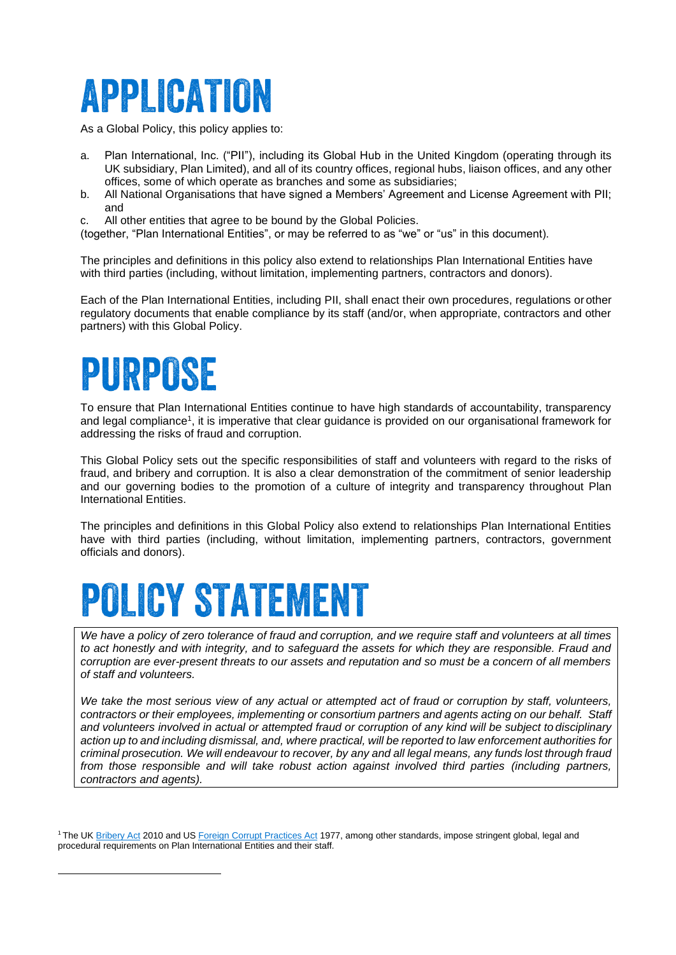## APPLICATION

As a Global Policy, this policy applies to:

- a. Plan International, Inc. ("PII"), including its Global Hub in the United Kingdom (operating through its UK subsidiary, Plan Limited), and all of its country offices, regional hubs, liaison offices, and any other offices, some of which operate as branches and some as subsidiaries;
- b. All National Organisations that have signed a Members' Agreement and License Agreement with PII; and
- c. All other entities that agree to be bound by the Global Policies.
- (together, "Plan International Entities", or may be referred to as "we" or "us" in this document).

The principles and definitions in this policy also extend to relationships Plan International Entities have with third parties (including, without limitation, implementing partners, contractors and donors).

Each of the Plan International Entities, including PII, shall enact their own procedures, regulations or other regulatory documents that enable compliance by its staff (and/or, when appropriate, contractors and other partners) with this Global Policy.

# PURPOSE

To ensure that Plan International Entities continue to have high standards of accountability, transparency and legal compliance<sup>1</sup>, it is imperative that clear guidance is provided on our organisational framework for addressing the risks of fraud and corruption.

This Global Policy sets out the specific responsibilities of staff and volunteers with regard to the risks of fraud, and bribery and corruption. It is also a clear demonstration of the commitment of senior leadership and our governing bodies to the promotion of a culture of integrity and transparency throughout Plan International Entities.

The principles and definitions in this Global Policy also extend to relationships Plan International Entities have with third parties (including, without limitation, implementing partners, contractors, government officials and donors).

# **POLICY STATEMENT**

We have a policy of zero tolerance of fraud and corruption, and we require staff and volunteers at all times *to act honestly and with integrity, and to safeguard the assets for which they are responsible. Fraud and corruption are ever-present threats to our assets and reputation and so must be a concern of all members of staff and volunteers.*

*We take the most serious view of any actual or attempted act of fraud or corruption by staff, volunteers, contractors or their employees, implementing or consortium partners and agents acting on our behalf. Staff and volunteers involved in actual or attempted fraud or corruption of any kind will be subject to disciplinary action up to and including dismissal, and, where practical, will be reported to law enforcement authorities for* criminal prosecution. We will endeavour to recover, by any and all legal means, any funds lost through fraud *from those responsible and will take robust action against involved third parties (including partners, contractors and agents).*

<sup>&</sup>lt;sup>1</sup>The UK **Bribery Act 2010 and US** Foreign Corrupt Practices Act 1977, among other standards, impose stringent global, legal and procedural requirements on Plan International Entities and their staff.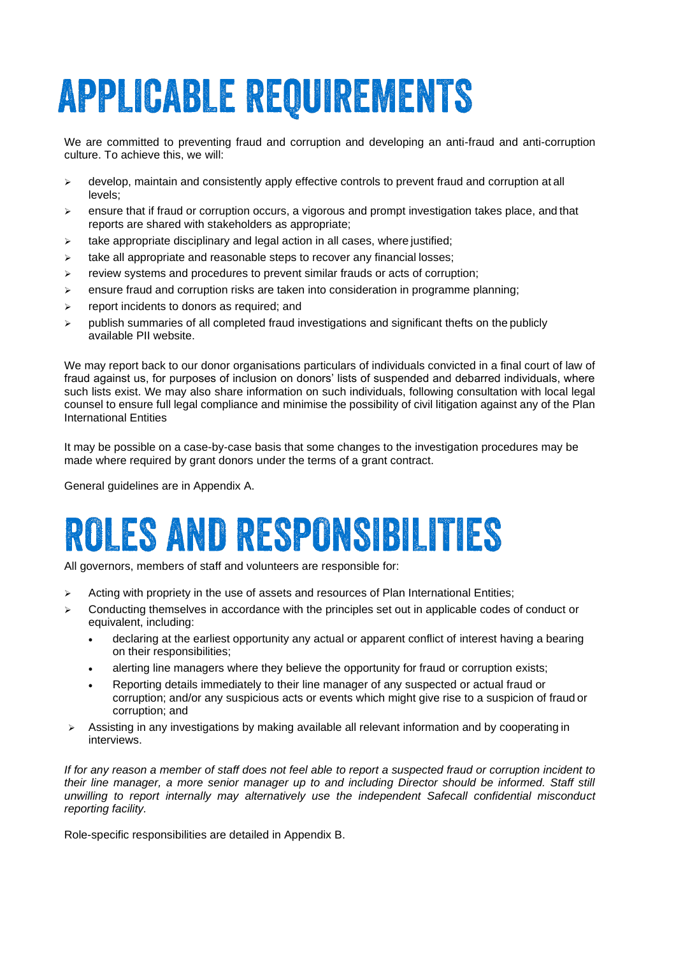# **APPLICABLE REQUIREMENTS**

We are committed to preventing fraud and corruption and developing an anti-fraud and anti-corruption culture. To achieve this, we will:

- ➢ develop, maintain and consistently apply effective controls to prevent fraud and corruption at all levels;
- $\triangleright$  ensure that if fraud or corruption occurs, a vigorous and prompt investigation takes place, and that reports are shared with stakeholders as appropriate;
- ➢ take appropriate disciplinary and legal action in all cases, where justified;
- ➢ take all appropriate and reasonable steps to recover any financial losses;
- ➢ review systems and procedures to prevent similar frauds or acts of corruption;
- $\triangleright$  ensure fraud and corruption risks are taken into consideration in programme planning;
- $\triangleright$  report incidents to donors as required; and
- $\triangleright$  publish summaries of all completed fraud investigations and significant thefts on the publicly available PII website.

We may report back to our donor organisations particulars of individuals convicted in a final court of law of fraud against us, for purposes of inclusion on donors' lists of suspended and debarred individuals, where such lists exist. We may also share information on such individuals, following consultation with local legal counsel to ensure full legal compliance and minimise the possibility of civil litigation against any of the Plan International Entities

It may be possible on a case-by-case basis that some changes to the investigation procedures may be made where required by grant donors under the terms of a grant contract.

General guidelines are in Appendix A.

# **ROLES AND RESPONSIBILITIES**

All governors, members of staff and volunteers are responsible for:

- ➢ Acting with propriety in the use of assets and resources of Plan International Entities;
- $\triangleright$  Conducting themselves in accordance with the principles set out in applicable codes of conduct or equivalent, including:
	- declaring at the earliest opportunity any actual or apparent conflict of interest having a bearing on their responsibilities;
	- alerting line managers where they believe the opportunity for fraud or corruption exists;
	- Reporting details immediately to their line manager of any suspected or actual fraud or corruption; and/or any suspicious acts or events which might give rise to a suspicion of fraud or corruption; and
- ➢ Assisting in any investigations by making available all relevant information and by cooperating in interviews.

*If for any reason a member of staff does not feel able to report a suspected fraud or corruption incident to their line manager, a more senior manager up to and including Director should be informed. Staff still unwilling to report internally may alternatively use the independent Safecall confidential misconduct reporting facility.*

Role-specific responsibilities are detailed in Appendix B.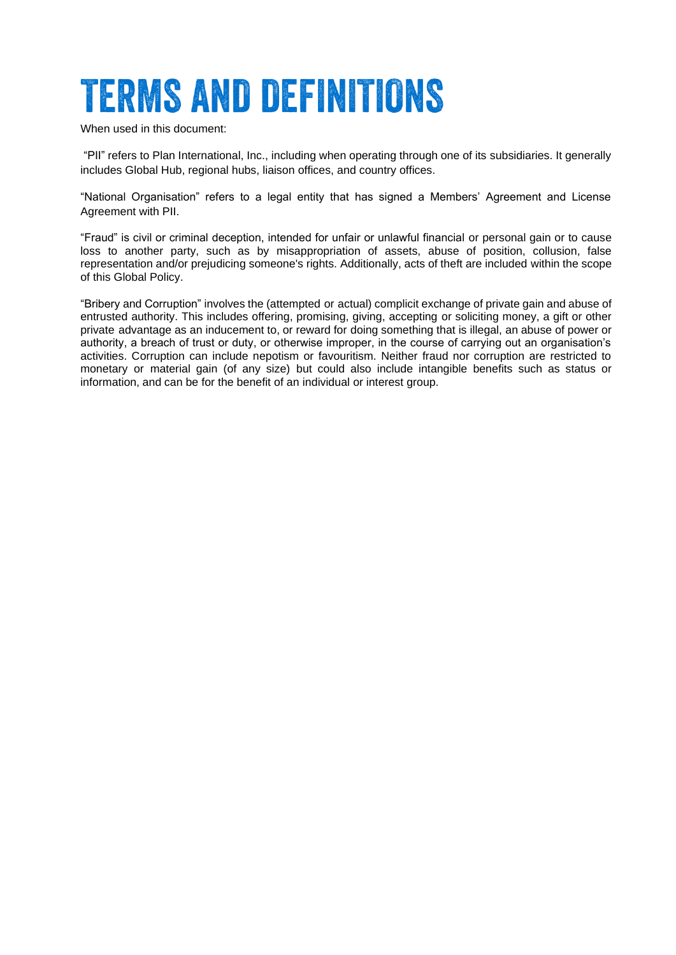# **TERMS AND DEFINITIONS**

When used in this document:

"PII" refers to Plan International, Inc., including when operating through one of its subsidiaries. It generally includes Global Hub, regional hubs, liaison offices, and country offices.

"National Organisation" refers to a legal entity that has signed a Members' Agreement and License Agreement with PII.

"Fraud" is civil or criminal deception, intended for unfair or unlawful financial or personal gain or to cause loss to another party, such as by misappropriation of assets, abuse of position, collusion, false representation and/or prejudicing someone's rights. Additionally, acts of theft are included within the scope of this Global Policy.

"Bribery and Corruption" involves the (attempted or actual) complicit exchange of private gain and abuse of entrusted authority. This includes offering, promising, giving, accepting or soliciting money, a gift or other private advantage as an inducement to, or reward for doing something that is illegal, an abuse of power or authority, a breach of trust or duty, or otherwise improper, in the course of carrying out an organisation's activities. Corruption can include nepotism or favouritism. Neither fraud nor corruption are restricted to monetary or material gain (of any size) but could also include intangible benefits such as status or information, and can be for the benefit of an individual or interest group.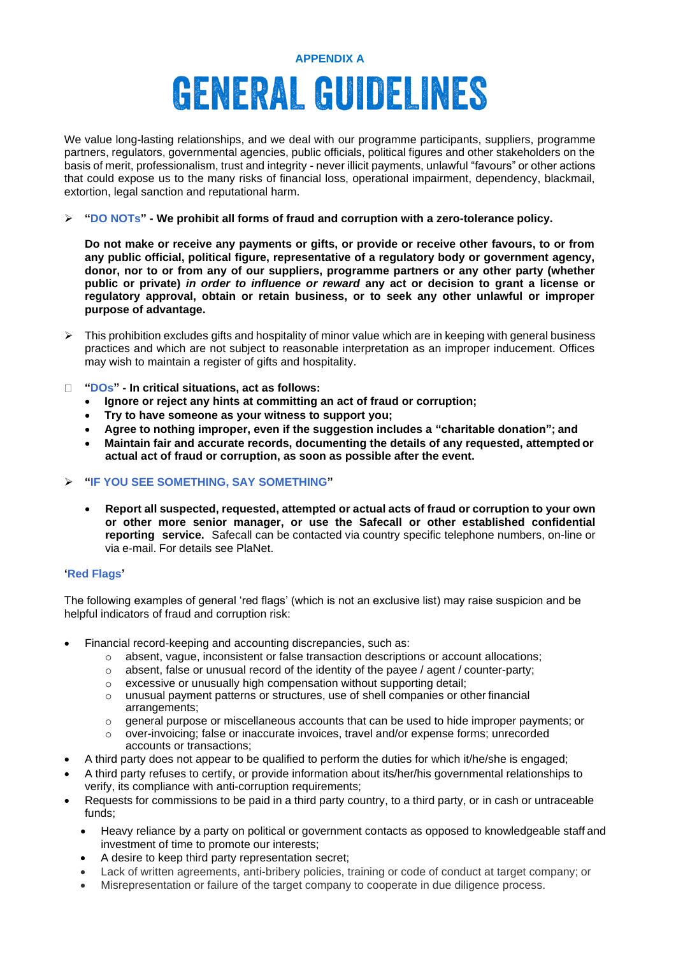### **APPENDIX A GENERAL GUIDELINES**

We value long-lasting relationships, and we deal with our programme participants, suppliers, programme partners, regulators, governmental agencies, public officials, political figures and other stakeholders on the basis of merit, professionalism, trust and integrity - never illicit payments, unlawful "favours" or other actions that could expose us to the many risks of financial loss, operational impairment, dependency, blackmail, extortion, legal sanction and reputational harm.

#### ➢ **"DO NOTs" - We prohibit all forms of fraud and corruption with a zero-tolerance policy.**

**Do not make or receive any payments or gifts, or provide or receive other favours, to or from any public official, political figure, representative of a regulatory body or government agency, donor, nor to or from any of our suppliers, programme partners or any other party (whether public or private)** *in order to influence or reward* **any act or decision to grant a license or regulatory approval, obtain or retain business, or to seek any other unlawful or improper purpose of advantage.**

- $\triangleright$  This prohibition excludes gifts and hospitality of minor value which are in keeping with general business practices and which are not subject to reasonable interpretation as an improper inducement. Offices may wish to maintain a register of gifts and hospitality.
- **"DOs" - In critical situations, act as follows:**
	- **Ignore or reject any hints at committing an act of fraud or corruption;**
	- **Try to have someone as your witness to support you;**
	- **Agree to nothing improper, even if the suggestion includes a "charitable donation"; and**
	- **Maintain fair and accurate records, documenting the details of any requested, attempted or actual act of fraud or corruption, as soon as possible after the event.**
- ➢ **"IF YOU SEE SOMETHING, SAY SOMETHING"**
	- **Report all suspected, requested, attempted or actual acts of fraud or corruption to your own or other more senior manager, or use the Safecall or other established confidential reporting service.** Safecall can be contacted via country specific telephone numbers, on-line or via e-mail. For details see PlaNet.

#### **'Red Flags'**

The following examples of general 'red flags' (which is not an exclusive list) may raise suspicion and be helpful indicators of fraud and corruption risk:

- Financial record-keeping and accounting discrepancies, such as:
	- o absent, vague, inconsistent or false transaction descriptions or account allocations;
	- $\circ$  absent, false or unusual record of the identity of the payee / agent / counter-party;
	- o excessive or unusually high compensation without supporting detail;
	- o unusual payment patterns or structures, use of shell companies or other financial arrangements;
	- o general purpose or miscellaneous accounts that can be used to hide improper payments; or over-invoicing; false or inaccurate invoices, travel and/or expense forms: unrecorded
	- over-invoicing; false or inaccurate invoices, travel and/or expense forms; unrecorded accounts or transactions;
- A third party does not appear to be qualified to perform the duties for which it/he/she is engaged;
- A third party refuses to certify, or provide information about its/her/his governmental relationships to verify, its compliance with anti-corruption requirements;
- Requests for commissions to be paid in a third party country, to a third party, or in cash or untraceable funds;
	- Heavy reliance by a party on political or government contacts as opposed to knowledgeable staff and investment of time to promote our interests;
	- A desire to keep third party representation secret;
	- Lack of written agreements, anti-bribery policies, training or code of conduct at target company; or
	- Misrepresentation or failure of the target company to cooperate in due diligence process.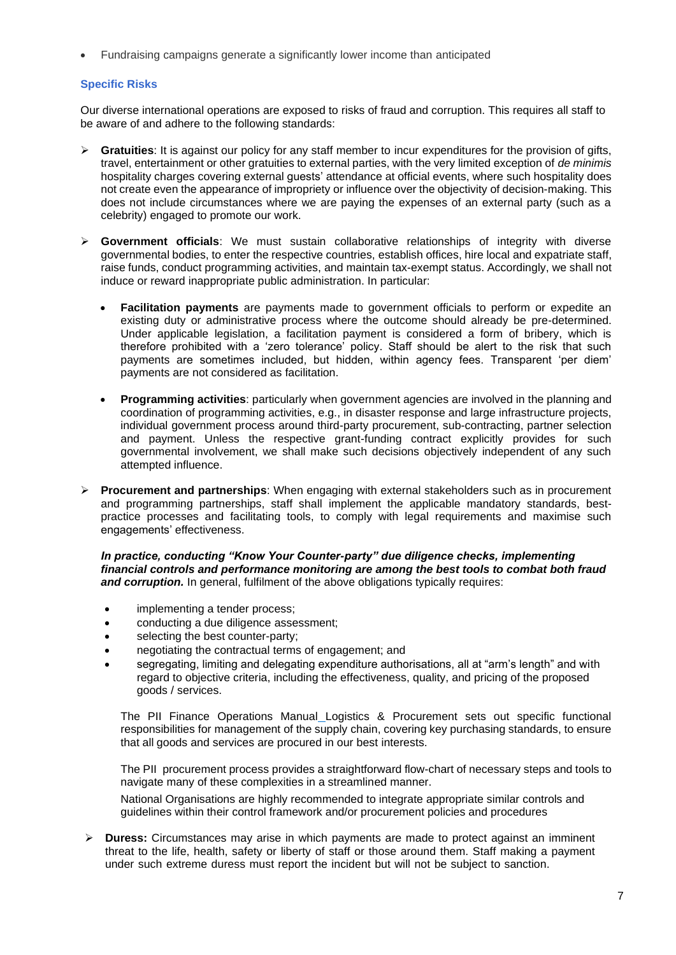• Fundraising campaigns generate a significantly lower income than anticipated

#### **Specific Risks**

Our diverse international operations are exposed to risks of fraud and corruption. This requires all staff to be aware of and adhere to the following standards:

- ➢ **Gratuities**: It is against our policy for any staff member to incur expenditures for the provision of gifts, travel, entertainment or other gratuities to external parties, with the very limited exception of *de minimis*  hospitality charges covering external guests' attendance at official events, where such hospitality does not create even the appearance of impropriety or influence over the objectivity of decision-making. This does not include circumstances where we are paying the expenses of an external party (such as a celebrity) engaged to promote our work.
- ➢ **Government officials**: We must sustain collaborative relationships of integrity with diverse governmental bodies, to enter the respective countries, establish offices, hire local and expatriate staff, raise funds, conduct programming activities, and maintain tax-exempt status. Accordingly, we shall not induce or reward inappropriate public administration. In particular:
	- **Facilitation payments** are payments made to government officials to perform or expedite an existing duty or administrative process where the outcome should already be pre-determined. Under applicable legislation, a facilitation payment is considered a form of bribery, which is therefore prohibited with a 'zero tolerance' policy. Staff should be alert to the risk that such payments are sometimes included, but hidden, within agency fees. Transparent 'per diem' payments are not considered as facilitation.
	- **Programming activities**: particularly when government agencies are involved in the planning and coordination of programming activities, e.g., in disaster response and large infrastructure projects, individual government process around third-party procurement, sub-contracting, partner selection and payment. Unless the respective grant-funding contract explicitly provides for such governmental involvement, we shall make such decisions objectively independent of any such attempted influence.
- ➢ **Procurement and partnerships**: When engaging with external stakeholders such as in procurement and programming partnerships, staff shall implement the applicable mandatory standards, bestpractice processes and facilitating tools, to comply with legal requirements and maximise such engagements' effectiveness.

*In practice, conducting "Know Your Counter-party" due diligence checks, implementing financial controls and performance monitoring are among the best tools to combat both fraud*  **and corruption.** In general, fulfilment of the above obligations typically requires:

- implementing a tender process;
- conducting a due diligence assessment;
- selecting the best counter-party;
- negotiating the contractual terms of engagement; and
- segregating, limiting and delegating expenditure authorisations, all at "arm's length" and with regard to objective criteria, including the effectiveness, quality, and pricing of the proposed goods / services.

The PII Finance Operations Manual Logistics & Procurement sets out specific functional responsibilities for management of the supply chain, covering key purchasing standards, to ensure that all goods and services are procured in our best interests.

The PII procurement process provides a straightforward flow-chart of necessary steps and tools to navigate many of these complexities in a streamlined manner.

National Organisations are highly recommended to integrate appropriate similar controls and guidelines within their control framework and/or procurement policies and procedures

➢ **Duress:** Circumstances may arise in which payments are made to protect against an imminent threat to the life, health, safety or liberty of staff or those around them. Staff making a payment under such extreme duress must report the incident but will not be subject to sanction.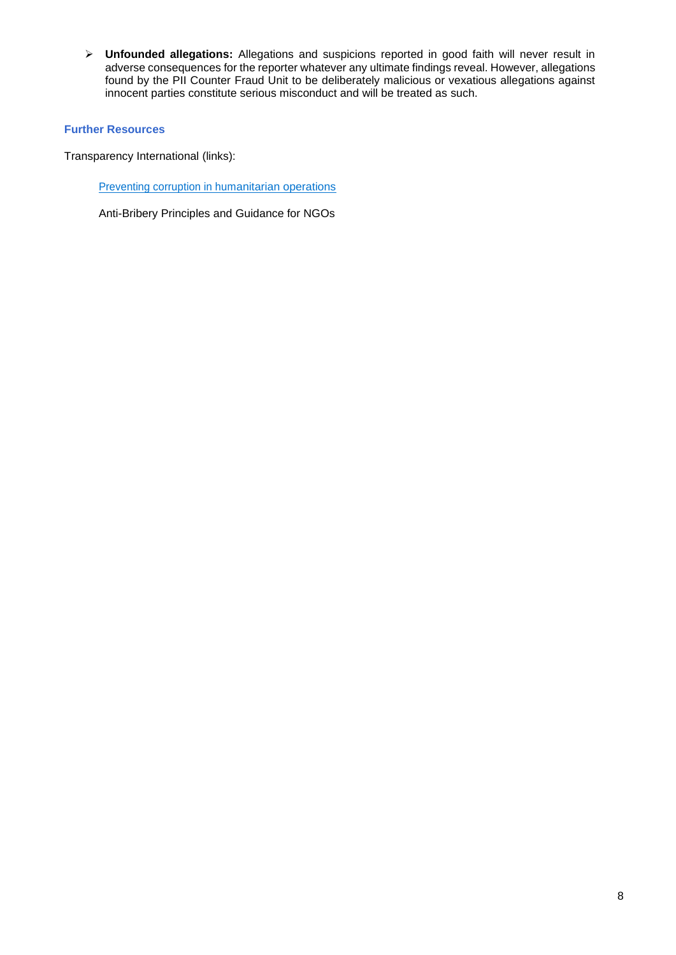➢ **Unfounded allegations:** Allegations and suspicions reported in good faith will never result in adverse consequences for the reporter whatever any ultimate findings reveal. However, allegations found by the PII Counter Fraud Unit to be deliberately malicious or vexatious allegations against innocent parties constitute serious misconduct and will be treated as such.

#### **Further Resources**

Transparency International (links):

Preventing corruption in humanitarian operations

Anti-Bribery Principles and Guidance for NGOs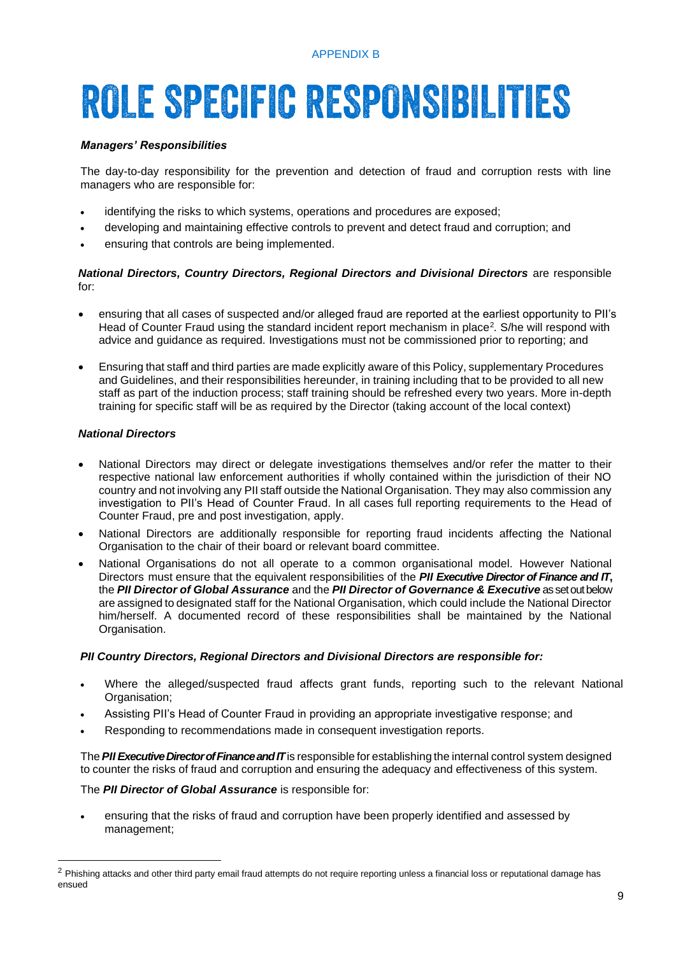# **ROLE SPECIFIC RESPONSIBILITIES**

#### *Managers' Responsibilities*

The day-to-day responsibility for the prevention and detection of fraud and corruption rests with line managers who are responsible for:

- identifying the risks to which systems, operations and procedures are exposed;
- developing and maintaining effective controls to prevent and detect fraud and corruption; and
- ensuring that controls are being implemented.

#### *National Directors, Country Directors, Regional Directors and Divisional Directors* are responsible for:

- ensuring that all cases of suspected and/or alleged fraud are reported at the earliest opportunity to PII's Head of Counter Fraud using the standard incident report mechanism in place<sup>2</sup> *.* S/he will respond with advice and guidance as required. Investigations must not be commissioned prior to reporting; and
- Ensuring that staff and third parties are made explicitly aware of this Policy, supplementary Procedures and Guidelines, and their responsibilities hereunder, in training including that to be provided to all new staff as part of the induction process; staff training should be refreshed every two years. More in-depth training for specific staff will be as required by the Director (taking account of the local context)

#### *National Directors*

- National Directors may direct or delegate investigations themselves and/or refer the matter to their respective national law enforcement authorities if wholly contained within the jurisdiction of their NO country and not involving any PII staff outside the National Organisation. They may also commission any investigation to PII's Head of Counter Fraud. In all cases full reporting requirements to the Head of Counter Fraud, pre and post investigation, apply.
- National Directors are additionally responsible for reporting fraud incidents affecting the National Organisation to the chair of their board or relevant board committee.
- National Organisations do not all operate to a common organisational model. However National Directors must ensure that the equivalent responsibilities of the *PII Executive Director of Finance and IT***,**  the *PII Director of Global Assurance* and the *PII Director of Governance & Executive* as set out below are assigned to designated staff for the National Organisation, which could include the National Director him/herself. A documented record of these responsibilities shall be maintained by the National Organisation.

#### *PII Country Directors, Regional Directors and Divisional Directors are responsible for:*

- Where the alleged/suspected fraud affects grant funds, reporting such to the relevant National Organisation;
- Assisting PII's Head of Counter Fraud in providing an appropriate investigative response; and
- Responding to recommendations made in consequent investigation reports.

The*PII Executive Director of Finance and IT*is responsible for establishing the internal control system designed to counter the risks of fraud and corruption and ensuring the adequacy and effectiveness of this system.

#### The *PII Director of Global Assurance* is responsible for:

• ensuring that the risks of fraud and corruption have been properly identified and assessed by management;

<sup>&</sup>lt;sup>2</sup> Phishing attacks and other third party email fraud attempts do not require reporting unless a financial loss or reputational damage has ensued